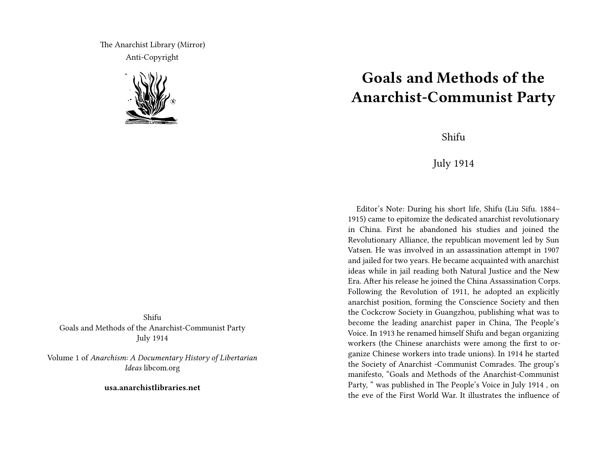The Anarchist Library (Mirror) Anti-Copyright



Shifu Goals and Methods of the Anarchist-Communist Party July 1914

Volume 1 of *Anarchism: A Documentary History of Libertarian Ideas* libcom.org

**usa.anarchistlibraries.net**

## **Goals and Methods of the Anarchist-Communist Party**

Shifu

July 1914

Editor's Note: During his short life, Shifu (Liu Sifu. 1884– 1915) came to epitomize the dedicated anarchist revolutionary in China. First he abandoned his studies and joined the Revolutionary Alliance, the republican movement led by Sun Vatsen. He was involved in an assassination attempt in 1907 and jailed for two years. He became acquainted with anarchist ideas while in jail reading both Natural Justice and the New Era. After his release he joined the China Assassination Corps. Following the Revolution of 1911, he adopted an explicitly anarchist position, forming the Conscience Society and then the Cockcrow Society in Guangzhou, publishing what was to become the leading anarchist paper in China, The People's Voice. In 1913 he renamed himself Shifu and began organizing workers (the Chinese anarchists were among the first to organize Chinese workers into trade unions). In 1914 he started the Society of Anarchist -Communist Comrades. The group's manifesto, "Goals and Methods of the Anarchist-Communist Party, " was published in The People's Voice in July 1914 , on the eve of the First World War. It illustrates the influence of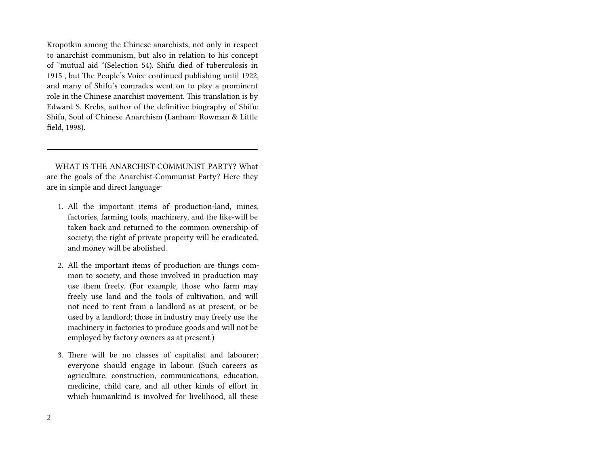Kropotkin among the Chinese anarchists, not only in respect to anarchist communism, but also in relation to his concept of "mutual aid "(Selection 54). Shifu died of tuberculosis in 1915 , but The People's Voice continued publishing until 1922, and many of Shifu's comrades went on to play a prominent role in the Chinese anarchist movement. This translation is by Edward S. Krebs, author of the definitive biography of Shifu: Shifu, Soul of Chinese Anarchism (Lanham: Rowman & Little field, 1998).

WHAT IS THE ANARCHIST-COMMUNIST PARTY? What are the goals of the Anarchist-Communist Party? Here they are in simple and direct language:

- 1. All the important items of production-land, mines, factories, farming tools, machinery, and the like-will be taken back and returned to the common ownership of society; the right of private property will be eradicated, and money will be abolished.
- 2. All the important items of production are things common to society, and those involved in production may use them freely. (For example, those who farm may freely use land and the tools of cultivation, and will not need to rent from a landlord as at present, or be used by a landlord; those in industry may freely use the machinery in factories to produce goods and will not be employed by factory owners as at present.)
- 3. There will be no classes of capitalist and labourer; everyone should engage in labour. (Such careers as agriculture, construction, communications, education, medicine, child care, and all other kinds of effort in which humankind is involved for livelihood, all these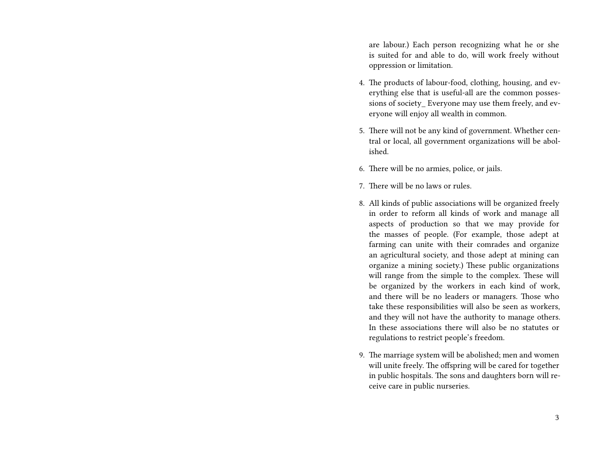are labour.) Each person recognizing what he or she is suited for and able to do, will work freely without oppression or limitation.

- 4. The products of labour-food, clothing, housing, and everything else that is useful-all are the common possessions of society\_ Everyone may use them freely, and everyone will enjoy all wealth in common.
- 5. There will not be any kind of government. Whether central or local, all government organizations will be abolished.
- 6. There will be no armies, police, or jails.
- 7. There will be no laws or rules.
- 8. All kinds of public associations will be organized freely in order to reform all kinds of work and manage all aspects of production so that we may provide for the masses of people. (For example, those adept at farming can unite with their comrades and organize an agricultural society, and those adept at mining can organize a mining society.) These public organizations will range from the simple to the complex. These will be organized by the workers in each kind of work, and there will be no leaders or managers. Those who take these responsibilities will also be seen as workers, and they will not have the authority to manage others. In these associations there will also be no statutes or regulations to restrict people's freedom.
- 9. The marriage system will be abolished; men and women will unite freely. The offspring will be cared for together in public hospitals. The sons and daughters born will receive care in public nurseries.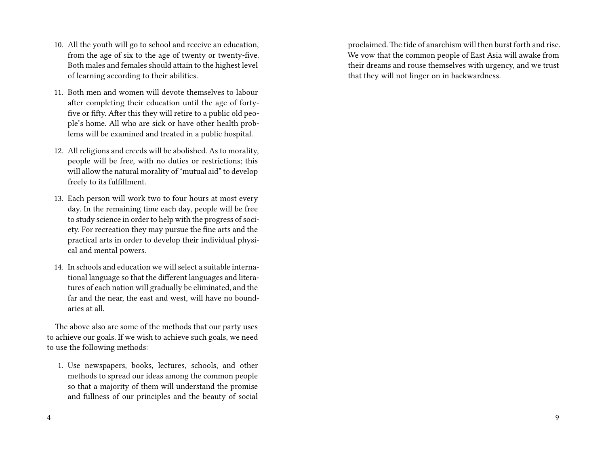- 10. All the youth will go to school and receive an education, from the age of six to the age of twenty or twenty-five. Both males and females should attain to the highest level of learning according to their abilities.
- 11. Both men and women will devote themselves to labour after completing their education until the age of fortyfive or fifty. After this they will retire to a public old people's home. All who are sick or have other health problems will be examined and treated in a public hospital.
- 12. All religions and creeds will be abolished. As to morality, people will be free, with no duties or restrictions; this will allow the natural morality of "mutual aid" to develop freely to its fulfillment.
- 13. Each person will work two to four hours at most every day. In the remaining time each day, people will be free to study science in order to help with the progress of society. For recreation they may pursue the fine arts and the practical arts in order to develop their individual physical and mental powers.
- 14. In schools and education we will select a suitable international language so that the different languages and literatures of each nation will gradually be eliminated, and the far and the near, the east and west, will have no boundaries at all.

The above also are some of the methods that our party uses to achieve our goals. If we wish to achieve such goals, we need to use the following methods:

1. Use newspapers, books, lectures, schools, and other methods to spread our ideas among the common people so that a majority of them will understand the promise and fullness of our principles and the beauty of social proclaimed. The tide of anarchism will then burst forth and rise. We vow that the common people of East Asia will awake from their dreams and rouse themselves with urgency, and we trust that they will not linger on in backwardness.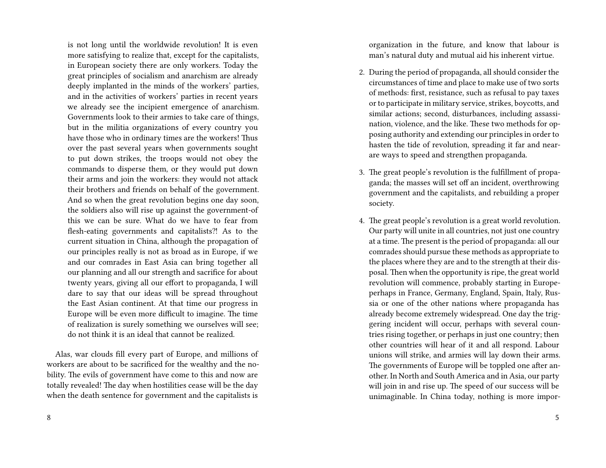is not long until the worldwide revolution! It is even more satisfying to realize that, except for the capitalists, in European society there are only workers. Today the great principles of socialism and anarchism are already deeply implanted in the minds of the workers' parties, and in the activities of workers' parties in recent years we already see the incipient emergence of anarchism. Governments look to their armies to take care of things, but in the militia organizations of every country you have those who in ordinary times are the workers! Thus over the past several years when governments sought to put down strikes, the troops would not obey the commands to disperse them, or they would put down their arms and join the workers: they would not attack their brothers and friends on behalf of the government. And so when the great revolution begins one day soon, the soldiers also will rise up against the government-of this we can be sure. What do we have to fear from flesh-eating governments and capitalists?! As to the current situation in China, although the propagation of our principles really is not as broad as in Europe, if we and our comrades in East Asia can bring together all our planning and all our strength and sacrifice for about twenty years, giving all our effort to propaganda, I will dare to say that our ideas will be spread throughout the East Asian continent. At that time our progress in Europe will be even more difficult to imagine. The time of realization is surely something we ourselves will see; do not think it is an ideal that cannot be realized.

Alas, war clouds fill every part of Europe, and millions of workers are about to be sacrificed for the wealthy and the nobility. The evils of government have come to this and now are totally revealed! The day when hostilities cease will be the day when the death sentence for government and the capitalists is

organization in the future, and know that labour is man's natural duty and mutual aid his inherent virtue.

- 2. During the period of propaganda, all should consider the circumstances of time and place to make use of two sorts of methods: first, resistance, such as refusal to pay taxes or to participate in military service, strikes, boycotts, and similar actions; second, disturbances, including assassination, violence, and the like. These two methods for opposing authority and extending our principles in order to hasten the tide of revolution, spreading it far and nearare ways to speed and strengthen propaganda.
- 3. The great people's revolution is the fulfillment of propaganda; the masses will set off an incident, overthrowing government and the capitalists, and rebuilding a proper society.
- 4. The great people's revolution is a great world revolution. Our party will unite in all countries, not just one country at a time. The present is the period of propaganda: all our comrades should pursue these methods as appropriate to the places where they are and to the strength at their disposal. Then when the opportunity is ripe, the great world revolution will commence, probably starting in Europeperhaps in France, Germany, England, Spain, Italy, Russia or one of the other nations where propaganda has already become extremely widespread. One day the triggering incident will occur, perhaps with several countries rising together, or perhaps in just one country; then other countries will hear of it and all respond. Labour unions will strike, and armies will lay down their arms. The governments of Europe will be toppled one after another. In North and South America and in Asia, our party will join in and rise up. The speed of our success will be unimaginable. In China today, nothing is more impor-